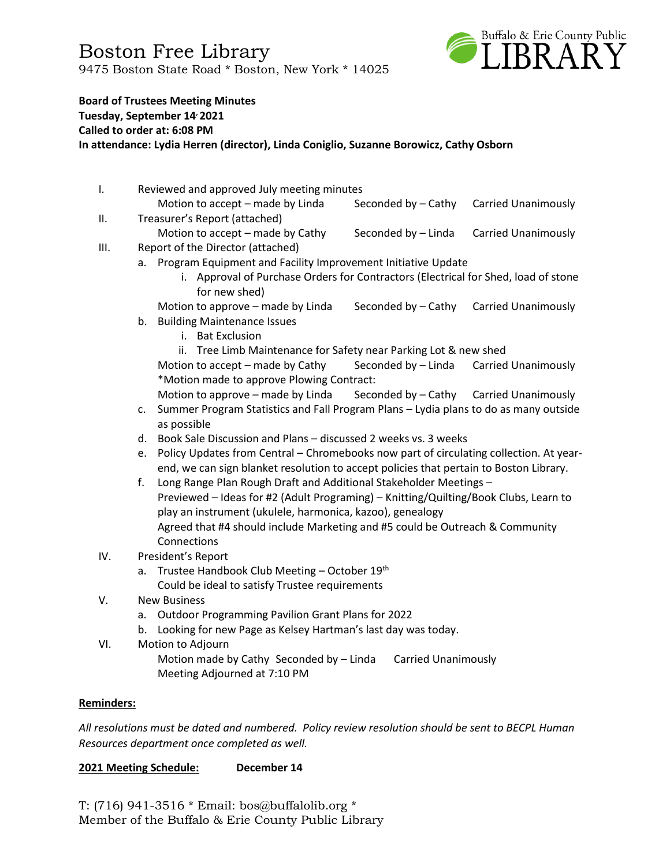Boston Free Library 9475 Boston State Road \* Boston, New York \* 14025



#### **Board of Trustees Meeting Minutes**

**Tuesday, September 14, 2021**

**Called to order at: 6:08 PM**

**In attendance: Lydia Herren (director), Linda Coniglio, Suzanne Borowicz, Cathy Osborn**

- I. Reviewed and approved July meeting minutes Motion to accept – made by Linda Seconded by – Cathy Carried Unanimously II. Treasurer's Report (attached)
- Motion to accept made by Cathy Seconded by Linda Carried Unanimously III. Report of the Director (attached)
	- a. Program Equipment and Facility Improvement Initiative Update
		- i. Approval of Purchase Orders for Contractors (Electrical for Shed, load of stone for new shed)
		- Motion to approve made by Linda Seconded by Cathy Carried Unanimously
	- b. Building Maintenance Issues
		- i. Bat Exclusion

ii. Tree Limb Maintenance for Safety near Parking Lot & new shed Motion to accept – made by Cathy Seconded by – Linda Carried Unanimously \*Motion made to approve Plowing Contract:

Motion to approve – made by Linda Seconded by – Cathy Carried Unanimously

- c. Summer Program Statistics and Fall Program Plans Lydia plans to do as many outside as possible
- d. Book Sale Discussion and Plans discussed 2 weeks vs. 3 weeks
- e. Policy Updates from Central Chromebooks now part of circulating collection. At yearend, we can sign blanket resolution to accept policies that pertain to Boston Library.
- f. Long Range Plan Rough Draft and Additional Stakeholder Meetings Previewed – Ideas for #2 (Adult Programing) – Knitting/Quilting/Book Clubs, Learn to play an instrument (ukulele, harmonica, kazoo), genealogy Agreed that #4 should include Marketing and #5 could be Outreach & Community Connections
- IV. President's Report
	- a. Trustee Handbook Club Meeting October 19<sup>th</sup> Could be ideal to satisfy Trustee requirements
- V. New Business
	- a. Outdoor Programming Pavilion Grant Plans for 2022
	- b. Looking for new Page as Kelsey Hartman's last day was today.
- VI. Motion to Adjourn Motion made by Cathy Seconded by – Linda Carried Unanimously Meeting Adjourned at 7:10 PM

#### **Reminders:**

*All resolutions must be dated and numbered. Policy review resolution should be sent to BECPL Human Resources department once completed as well.* 

#### **2021 Meeting Schedule: December 14**

T: (716) 941-3516 \* Email: [bos@buffalolib.org](mailto:bos@buffalolib.org) \* Member of the Buffalo & Erie County Public Library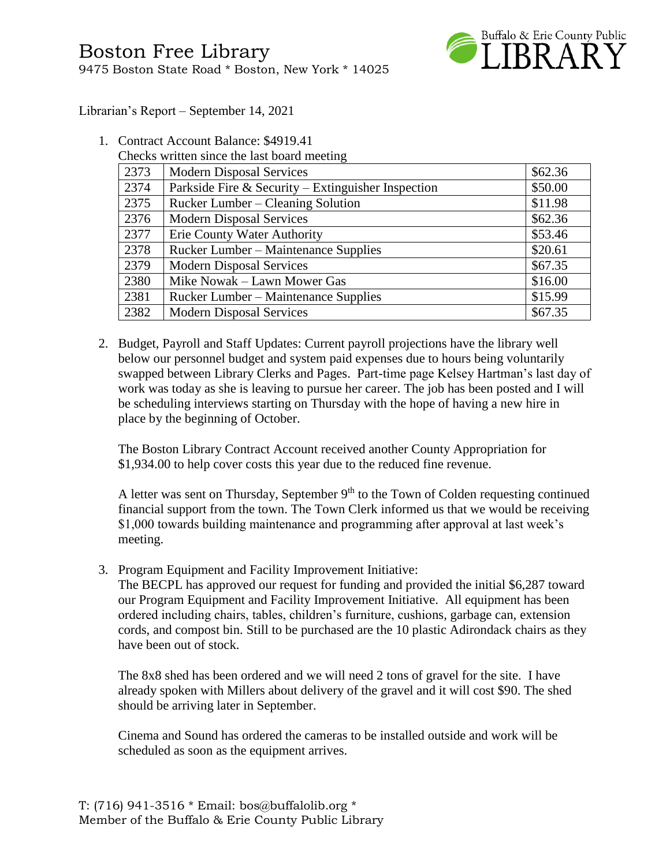

Librarian's Report – September 14, 2021

- 1. Contract Account Balance: \$4919.41
	- Checks written since the last board meeting

| 2373 | <b>Modern Disposal Services</b>                    | \$62.36 |
|------|----------------------------------------------------|---------|
| 2374 | Parkside Fire & Security – Extinguisher Inspection | \$50.00 |
| 2375 | Rucker Lumber – Cleaning Solution                  | \$11.98 |
| 2376 | <b>Modern Disposal Services</b>                    | \$62.36 |
| 2377 | Erie County Water Authority                        | \$53.46 |
| 2378 | Rucker Lumber – Maintenance Supplies               | \$20.61 |
| 2379 | <b>Modern Disposal Services</b>                    | \$67.35 |
| 2380 | Mike Nowak – Lawn Mower Gas                        | \$16.00 |
| 2381 | <b>Rucker Lumber – Maintenance Supplies</b>        | \$15.99 |
| 2382 | <b>Modern Disposal Services</b>                    | \$67.35 |

2. Budget, Payroll and Staff Updates: Current payroll projections have the library well below our personnel budget and system paid expenses due to hours being voluntarily swapped between Library Clerks and Pages. Part-time page Kelsey Hartman's last day of work was today as she is leaving to pursue her career. The job has been posted and I will be scheduling interviews starting on Thursday with the hope of having a new hire in place by the beginning of October.

The Boston Library Contract Account received another County Appropriation for \$1,934.00 to help cover costs this year due to the reduced fine revenue.

A letter was sent on Thursday, September  $9<sup>th</sup>$  to the Town of Colden requesting continued financial support from the town. The Town Clerk informed us that we would be receiving \$1,000 towards building maintenance and programming after approval at last week's meeting.

3. Program Equipment and Facility Improvement Initiative:

The BECPL has approved our request for funding and provided the initial \$6,287 toward our Program Equipment and Facility Improvement Initiative. All equipment has been ordered including chairs, tables, children's furniture, cushions, garbage can, extension cords, and compost bin. Still to be purchased are the 10 plastic Adirondack chairs as they have been out of stock.

The 8x8 shed has been ordered and we will need 2 tons of gravel for the site. I have already spoken with Millers about delivery of the gravel and it will cost \$90. The shed should be arriving later in September.

Cinema and Sound has ordered the cameras to be installed outside and work will be scheduled as soon as the equipment arrives.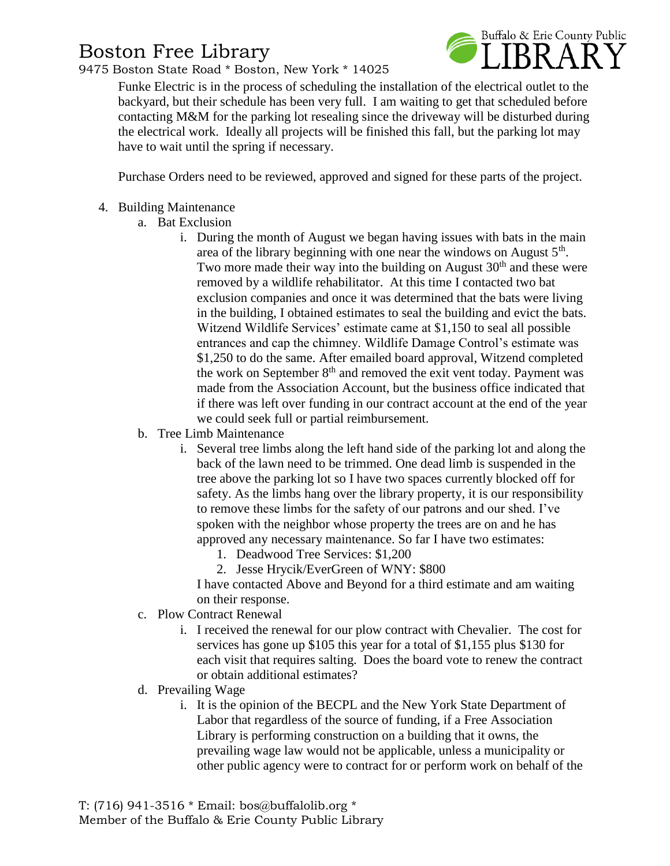## Boston Free Library

9475 Boston State Road \* Boston, New York \* 14025



Funke Electric is in the process of scheduling the installation of the electrical outlet to the backyard, but their schedule has been very full. I am waiting to get that scheduled before contacting M&M for the parking lot resealing since the driveway will be disturbed during the electrical work. Ideally all projects will be finished this fall, but the parking lot may have to wait until the spring if necessary.

Purchase Orders need to be reviewed, approved and signed for these parts of the project.

- 4. Building Maintenance
	- a. Bat Exclusion
		- i. During the month of August we began having issues with bats in the main area of the library beginning with one near the windows on August  $5<sup>th</sup>$ . Two more made their way into the building on August  $30<sup>th</sup>$  and these were removed by a wildlife rehabilitator. At this time I contacted two bat exclusion companies and once it was determined that the bats were living in the building, I obtained estimates to seal the building and evict the bats. Witzend Wildlife Services' estimate came at \$1,150 to seal all possible entrances and cap the chimney. Wildlife Damage Control's estimate was \$1,250 to do the same. After emailed board approval, Witzend completed the work on September  $8<sup>th</sup>$  and removed the exit vent today. Payment was made from the Association Account, but the business office indicated that if there was left over funding in our contract account at the end of the year we could seek full or partial reimbursement.
	- b. Tree Limb Maintenance
		- i. Several tree limbs along the left hand side of the parking lot and along the back of the lawn need to be trimmed. One dead limb is suspended in the tree above the parking lot so I have two spaces currently blocked off for safety. As the limbs hang over the library property, it is our responsibility to remove these limbs for the safety of our patrons and our shed. I've spoken with the neighbor whose property the trees are on and he has approved any necessary maintenance. So far I have two estimates:
			- 1. Deadwood Tree Services: \$1,200
			- 2. Jesse Hrycik/EverGreen of WNY: \$800

I have contacted Above and Beyond for a third estimate and am waiting on their response.

- c. Plow Contract Renewal
	- i. I received the renewal for our plow contract with Chevalier. The cost for services has gone up \$105 this year for a total of \$1,155 plus \$130 for each visit that requires salting. Does the board vote to renew the contract or obtain additional estimates?
- d. Prevailing Wage
	- i. It is the opinion of the BECPL and the New York State Department of Labor that regardless of the source of funding, if a Free Association Library is performing construction on a building that it owns, the prevailing wage law would not be applicable, unless a municipality or other public agency were to contract for or perform work on behalf of the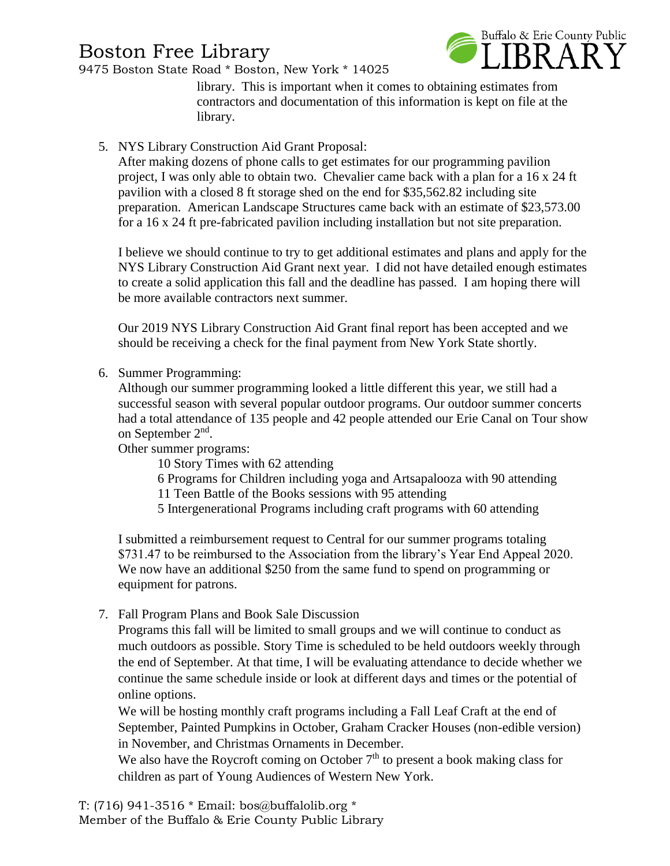## Boston Free Library

Buffalo & Erie County Public

9475 Boston State Road \* Boston, New York \* 14025

library. This is important when it comes to obtaining estimates from contractors and documentation of this information is kept on file at the library.

### 5. NYS Library Construction Aid Grant Proposal:

After making dozens of phone calls to get estimates for our programming pavilion project, I was only able to obtain two. Chevalier came back with a plan for a 16 x 24 ft pavilion with a closed 8 ft storage shed on the end for \$35,562.82 including site preparation. American Landscape Structures came back with an estimate of \$23,573.00 for a 16 x 24 ft pre-fabricated pavilion including installation but not site preparation.

I believe we should continue to try to get additional estimates and plans and apply for the NYS Library Construction Aid Grant next year. I did not have detailed enough estimates to create a solid application this fall and the deadline has passed. I am hoping there will be more available contractors next summer.

Our 2019 NYS Library Construction Aid Grant final report has been accepted and we should be receiving a check for the final payment from New York State shortly.

6. Summer Programming:

Although our summer programming looked a little different this year, we still had a successful season with several popular outdoor programs. Our outdoor summer concerts had a total attendance of 135 people and 42 people attended our Erie Canal on Tour show on September 2<sup>nd</sup>.

Other summer programs:

10 Story Times with 62 attending

- 6 Programs for Children including yoga and Artsapalooza with 90 attending
- 11 Teen Battle of the Books sessions with 95 attending
- 5 Intergenerational Programs including craft programs with 60 attending

I submitted a reimbursement request to Central for our summer programs totaling \$731.47 to be reimbursed to the Association from the library's Year End Appeal 2020. We now have an additional \$250 from the same fund to spend on programming or equipment for patrons.

7. Fall Program Plans and Book Sale Discussion

Programs this fall will be limited to small groups and we will continue to conduct as much outdoors as possible. Story Time is scheduled to be held outdoors weekly through the end of September. At that time, I will be evaluating attendance to decide whether we continue the same schedule inside or look at different days and times or the potential of online options.

We will be hosting monthly craft programs including a Fall Leaf Craft at the end of September, Painted Pumpkins in October, Graham Cracker Houses (non-edible version) in November, and Christmas Ornaments in December.

We also have the Roycroft coming on October  $7<sup>th</sup>$  to present a book making class for children as part of Young Audiences of Western New York.

T: (716) 941-3516 \* Email: [bos@buffalolib.org](mailto:bos@buffalolib.org) \* Member of the Buffalo & Erie County Public Library